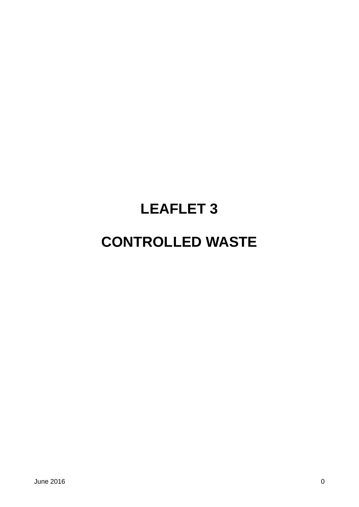# **LEAFLET 3**

# **CONTROLLED WASTE**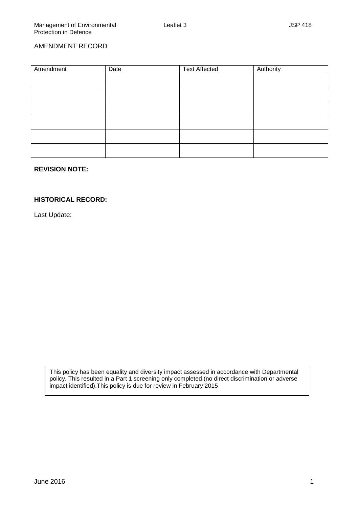## AMENDMENT RECORD

| Amendment | Date | <b>Text Affected</b> | Authority |
|-----------|------|----------------------|-----------|
|           |      |                      |           |
|           |      |                      |           |
|           |      |                      |           |
|           |      |                      |           |
|           |      |                      |           |
|           |      |                      |           |
|           |      |                      |           |
|           |      |                      |           |
|           |      |                      |           |

## **REVISION NOTE:**

#### **HISTORICAL RECORD:**

Last Update:

This policy has been equality and diversity impact assessed in accordance with Departmental policy. This resulted in a Part 1 screening only completed (no direct discrimination or adverse impact identified).This policy is due for review in February 2015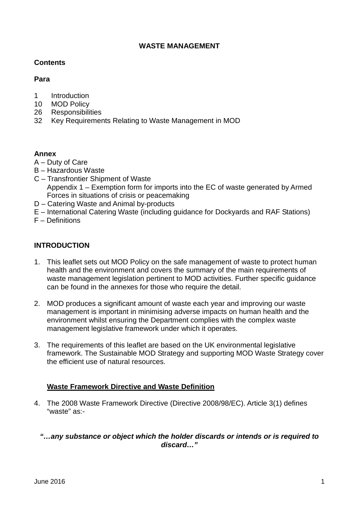## **WASTE MANAGEMENT**

## **Contents**

# **Para**

- 1 Introduction<br>10 MOD Policy
- **MOD Policy**
- 26 Responsibilities
- 32 Key Requirements Relating to Waste Management in MOD

# **Annex**

- A Duty of Care
- B Hazardous Waste
- C Transfrontier Shipment of Waste Appendix 1 – Exemption form for imports into the EC of waste generated by Armed Forces in situations of crisis or peacemaking
- D Catering Waste and Animal by-products
- E International Catering Waste (including guidance for Dockyards and RAF Stations)
- F Definitions

# **INTRODUCTION**

- 1. This leaflet sets out MOD Policy on the safe management of waste to protect human health and the environment and covers the summary of the main requirements of waste management legislation pertinent to MOD activities. Further specific guidance can be found in the annexes for those who require the detail.
- 2. MOD produces a significant amount of waste each year and improving our waste management is important in minimising adverse impacts on human health and the environment whilst ensuring the Department complies with the complex waste management legislative framework under which it operates.
- 3. The requirements of this leaflet are based on the UK environmental legislative framework. The Sustainable MOD Strategy and supporting MOD Waste Strategy cover the efficient use of natural resources.

# **Waste Framework Directive and Waste Definition**

4. The 2008 Waste Framework Directive (Directive 2008/98/EC). Article 3(1) defines "waste" as:-

# *"…any substance or object which the holder discards or intends or is required to discard…"*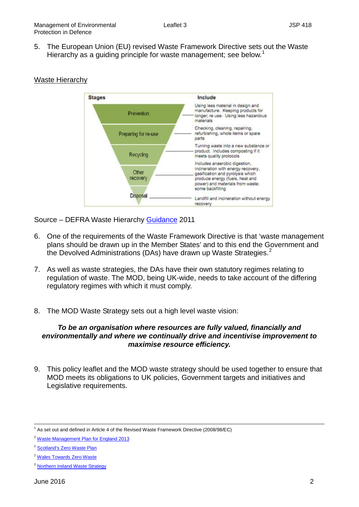5. The European Union (EU) revised Waste Framework Directive sets out the Waste Hierarchy as a guiding principle for waste management; see below.<sup>[1](#page-3-0)</sup>



#### Waste Hierarchy

Source – DEFRA Waste Hierarchy [Guidance](https://www.gov.uk/government/uploads/system/uploads/attachment_data/file/69403/pb13530-waste-hierarchy-guidance.pdf) 2011

- 6. One of the requirements of the Waste Framework Directive is that 'waste management plans should be drawn up in the Member States' and to this end the Government and the Devolved Administrations (DAs) have drawn up Waste Strategies.<sup>[2](#page-3-1)</sup>
- 7. As well as waste strategies, the DAs have their own statutory regimes relating to regulation of waste. The MOD, being UK-wide, needs to take account of the differing regulatory regimes with which it must comply.
- 8. The MOD Waste Strategy sets out a high level waste vision:

#### *To be an organisation where resources are fully valued, financially and environmentally and where we continually drive and incentivise improvement to maximise resource efficiency.*

9. This policy leaflet and the MOD waste strategy should be used together to ensure that MOD meets its obligations to UK policies, Government targets and initiatives and Legislative requirements.

<span id="page-3-0"></span> $1$  As set out and defined in Article 4 of the Revised Waste Framework Directive (2008/98/EC)

<span id="page-3-1"></span><sup>&</sup>lt;sup>2</sup> [Waste Management Plan for England 2013](https://www.gov.uk/government/uploads/system/uploads/attachment_data/file/265810/pb14100-waste-management-plan-20131213.pdf)

<sup>2</sup> [Scotland's Zero Waste Plan](http://www.gov.scot/Topics/Environment/waste-and-pollution/Waste-1)

<sup>&</sup>lt;sup>2</sup> [Wales Towards Zero Waste](http://gov.wales/topics/environmentcountryside/epq/waste_recycling/zerowaste/?lang=en)

<sup>2</sup> [Northern Ireland Waste Strategy](https://www.doeni.gov.uk/articles/waste-management-strategy)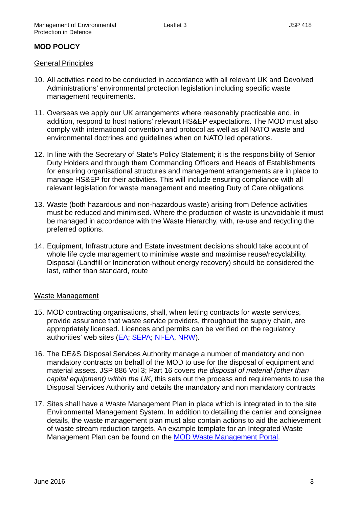# **MOD POLICY**

#### General Principles

- 10. All activities need to be conducted in accordance with all relevant UK and Devolved Administrations' environmental protection legislation including specific waste management requirements.
- 11. Overseas we apply our UK arrangements where reasonably practicable and, in addition, respond to host nations' relevant HS&EP expectations. The MOD must also comply with international convention and protocol as well as all NATO waste and environmental doctrines and guidelines when on NATO led operations.
- 12. In line with the Secretary of State's Policy Statement; it is the responsibility of Senior Duty Holders and through them Commanding Officers and Heads of Establishments for ensuring organisational structures and management arrangements are in place to manage HS&EP for their activities. This will include ensuring compliance with all relevant legislation for waste management and meeting Duty of Care obligations
- 13. Waste (both hazardous and non-hazardous waste) arising from Defence activities must be reduced and minimised. Where the production of waste is unavoidable it must be managed in accordance with the Waste Hierarchy, with, re-use and recycling the preferred options.
- 14. Equipment, Infrastructure and Estate investment decisions should take account of whole life cycle management to minimise waste and maximise reuse/recyclability. Disposal (Landfill or Incineration without energy recovery) should be considered the last, rather than standard, route

## Waste Management

- 15. MOD contracting organisations, shall, when letting contracts for waste services, provide assurance that waste service providers, throughout the supply chain, are appropriately licensed. Licences and permits can be verified on the regulatory authorities' web sites [\(EA;](https://www.gov.uk/environmental-permit-how-to-apply/overview) [SEPA;](http://www.sepa.org.uk/waste/waste_regulation/waste_carriers_and_brokers/who_is_registered.aspx) [NI-EA,](https://www.doeni.gov.uk/topics/waste) [NRW\)](https://naturalresources.wales/apply-for-a-permit/waste/?lang=en).
- 16. The DE&S Disposal Services Authority manage a number of mandatory and non mandatory contracts on behalf of the MOD to use for the disposal of equipment and material assets. JSP 886 Vol 3; Part 16 covers *the disposal of material (other than capital equipment) within the UK,* this sets out the process and requirements to use the Disposal Services Authority and details the mandatory and non mandatory contracts
- 17. Sites shall have a Waste Management Plan in place which is integrated in to the site Environmental Management System. In addition to detailing the carrier and consignee details, the waste management plan must also contain actions to aid the achievement of waste stream reduction targets. An example template for an Integrated Waste Management Plan can be found on the [MOD Waste Management Portal.](http://defenceintranet.diif.r.mil.uk/Policy/Safety/SustainableDevelopment/Pages/WastePortal.aspx)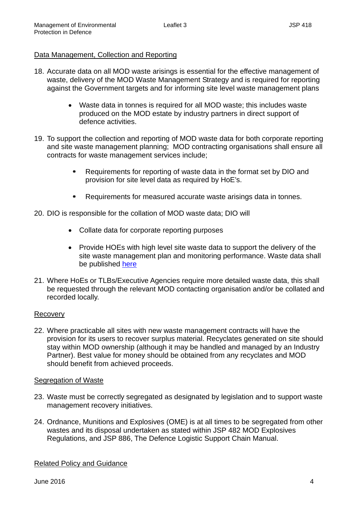## Data Management, Collection and Reporting

- 18. Accurate data on all MOD waste arisings is essential for the effective management of waste, delivery of the MOD Waste Management Strategy and is required for reporting against the Government targets and for informing site level waste management plans
	- Waste data in tonnes is required for all MOD waste; this includes waste produced on the MOD estate by industry partners in direct support of defence activities.
- 19. To support the collection and reporting of MOD waste data for both corporate reporting and site waste management planning; MOD contracting organisations shall ensure all contracts for waste management services include;
	- Requirements for reporting of waste data in the format set by DIO and provision for site level data as required by HoE's.
	- **Requirements for measured accurate waste arisings data in tonnes.**
- 20. DIO is responsible for the collation of MOD waste data; DIO will
	- Collate data for corporate reporting purposes
	- Provide HOEs with high level site waste data to support the delivery of the site waste management plan and monitoring performance. Waste data shall be published [here](http://defenceintranet.diif.r.mil.uk/Organisations/Orgs/DIO/Reference/Publications/Pages/EnergyUtilities+Sustainability.aspx)
- 21. Where HoEs or TLBs/Executive Agencies require more detailed waste data, this shall be requested through the relevant MOD contacting organisation and/or be collated and recorded locally.

## Recovery

22. Where practicable all sites with new waste management contracts will have the provision for its users to recover surplus material. Recyclates generated on site should stay within MOD ownership (although it may be handled and managed by an Industry Partner). Best value for money should be obtained from any recyclates and MOD should benefit from achieved proceeds.

#### Segregation of Waste

- 23. Waste must be correctly segregated as designated by legislation and to support waste management recovery initiatives.
- 24. Ordnance, Munitions and Explosives (OME) is at all times to be segregated from other wastes and its disposal undertaken as stated within JSP 482 MOD Explosives Regulations, and JSP 886, The Defence Logistic Support Chain Manual.

## Related Policy and Guidance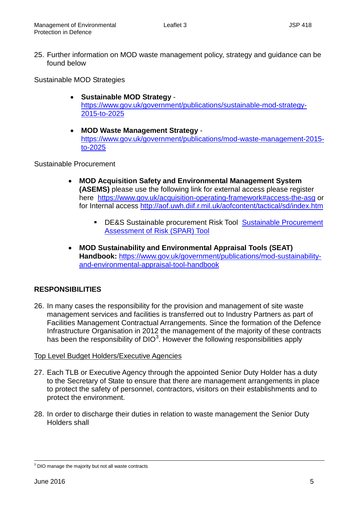25. Further information on MOD waste management policy, strategy and guidance can be found below

Sustainable MOD Strategies

- **Sustainable MOD Strategy** [https://www.gov.uk/government/publications/sustainable-mod-strategy-](https://www.gov.uk/government/publications/sustainable-mod-strategy-2015-to-2025)[2015-to-2025](https://www.gov.uk/government/publications/sustainable-mod-strategy-2015-to-2025)
- **MOD Waste Management Strategy** [https://www.gov.uk/government/publications/mod-waste-management-2015](https://www.gov.uk/government/publications/mod-waste-management-2015-to-2025) [to-2025](https://www.gov.uk/government/publications/mod-waste-management-2015-to-2025)

## Sustainable Procurement

- **MOD Acquisition Safety and Environmental Management System (ASEMS)** please use the following link for external access please register here <https://www.gov.uk/acquisition-operating-framework#access-the-asg> or for Internal access<http://aof.uwh.diif.r.mil.uk/aofcontent/tactical/sd/index.htm>
	- **-** DE&S Sustainable procurement Risk Tool Sustainable Procurement [Assessment of Risk \(SPAR\) Tool](http://aof.uwh.diif.r.mil.uk/aofcontent/tactical/sd/downloads/20101116-Sustainable_Procurement_Assessment_Risk_Matrix_Template_v1-U.xls)
- **MOD Sustainability and Environmental Appraisal Tools (SEAT) Handbook:** [https://www.gov.uk/government/publications/mod-sustainability](https://www.gov.uk/government/publications/mod-sustainability-and-environmental-appraisal-tool-handbook)[and-environmental-appraisal-tool-handbook](https://www.gov.uk/government/publications/mod-sustainability-and-environmental-appraisal-tool-handbook)

# **RESPONSIBILITIES**

26. In many cases the responsibility for the provision and management of site waste management services and facilities is transferred out to Industry Partners as part of Facilities Management Contractual Arrangements. Since the formation of the Defence Infrastructure Organisation in 2012 the management of the majority of these contracts has been the responsibility of DIO<sup>[3](#page-6-0)</sup>. However the following responsibilities apply

# Top Level Budget Holders/Executive Agencies

- 27. Each TLB or Executive Agency through the appointed Senior Duty Holder has a duty to the Secretary of State to ensure that there are management arrangements in place to protect the safety of personnel, contractors, visitors on their establishments and to protect the environment.
- 28. In order to discharge their duties in relation to waste management the Senior Duty Holders shall

<span id="page-6-0"></span> $3$  DIO manage the majority but not all waste contracts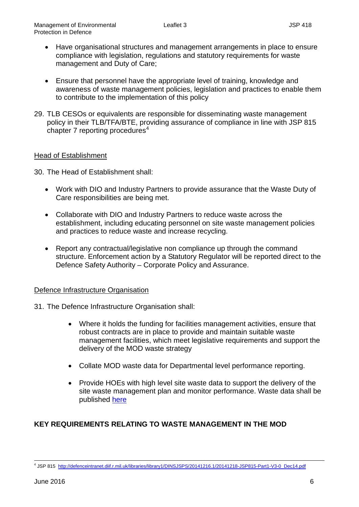- Have organisational structures and management arrangements in place to ensure compliance with legislation, regulations and statutory requirements for waste management and Duty of Care;
- Ensure that personnel have the appropriate level of training, knowledge and awareness of waste management policies, legislation and practices to enable them to contribute to the implementation of this policy
- 29. TLB CESOs or equivalents are responsible for disseminating waste management policy in their TLB/TFA/BTE, providing assurance of compliance in line with JSP 815 chapter  $7$  reporting procedures<sup>[4](#page-7-0)</sup>

## Head of Establishment

30. The Head of Establishment shall:

- Work with DIO and Industry Partners to provide assurance that the Waste Duty of Care responsibilities are being met.
- Collaborate with DIO and Industry Partners to reduce waste across the establishment, including educating personnel on site waste management policies and practices to reduce waste and increase recycling.
- Report any contractual/legislative non compliance up through the command structure. Enforcement action by a Statutory Regulator will be reported direct to the Defence Safety Authority – Corporate Policy and Assurance.

## Defence Infrastructure Organisation

- 31. The Defence Infrastructure Organisation shall:
	- Where it holds the funding for facilities management activities, ensure that robust contracts are in place to provide and maintain suitable waste management facilities, which meet legislative requirements and support the delivery of the MOD waste strategy
	- Collate MOD waste data for Departmental level performance reporting.
	- Provide HOEs with high level site waste data to support the delivery of the site waste management plan and monitor performance. Waste data shall be published [here](http://defenceintranet.diif.r.mil.uk/Organisations/Orgs/DIO/Reference/Publications/Pages/EnergyUtilities+Sustainability.aspx)

## **KEY REQUIREMENTS RELATING TO WASTE MANAGEMENT IN THE MOD**

<span id="page-7-0"></span> <sup>4</sup> JSP 815 [http://defenceintranet.diif.r.mil.uk/libraries/library1/DINSJSPS/20141216.1/20141218-JSP815-Part1-V3-0\\_Dec14.pdf](http://defenceintranet.diif.r.mil.uk/libraries/library1/DINSJSPS/20141216.1/20141218-JSP815-Part1-V3-0_Dec14.pdf)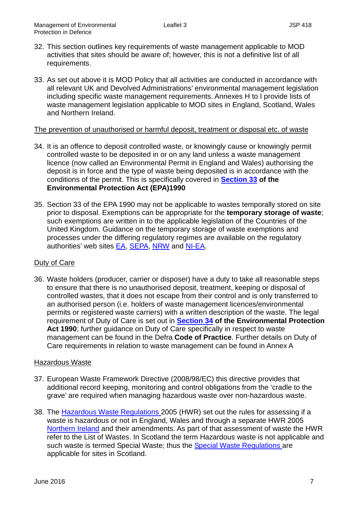- 32. This section outlines key requirements of waste management applicable to MOD activities that sites should be aware of; however, this is not a definitive list of all requirements.
- 33. As set out above it is MOD Policy that all activities are conducted in accordance with all relevant UK and Devolved Administrations' environmental management legislation including specific waste management requirements. Annexes H to I provide lists of waste management legislation applicable to MOD sites in England, Scotland, Wales and Northern Ireland.

## The prevention of unauthorised or harmful deposit, treatment or disposal etc. of waste

- 34. It is an offence to deposit controlled waste, or knowingly cause or knowingly permit controlled waste to be deposited in or on any land unless a waste management licence (now called an Environmental Permit in England and Wales) authorising the deposit is in force and the type of waste being deposited is in accordance with the conditions of the permit. This is specifically covered in **[Section 33](http://www.opsi.gov.uk/acts/acts1990/ukpga_19900043_en_5#pt2-pb2-l1g33) of the Environmental Protection Act (EPA)1990**
- 35. Section 33 of the EPA 1990 may not be applicable to wastes temporally stored on site prior to disposal. Exemptions can be appropriate for the **temporary storage of waste**; such exemptions are written in to the applicable legislation of the Countries of the United Kingdom. Guidance on the temporary storage of waste exemptions and processes under the differing regulatory regimes are available on the regulatory authorities' web sites [EA,](https://www.gov.uk/government/collections/waste-exemptions-storing-waste) [SEPA,](http://www.sepa.org.uk/waste/waste_regulation/application_forms/exempt_activities/paragraph_41.aspx) [NRW](https://naturalresources.wales/apply-for-a-permit/waste/waste-exemptions/?lang=en) and [NI-EA.](https://www.doeni.gov.uk/topics/waste/waste-management-licensing-exemptions)

# Duty of Care

36. Waste holders (producer, carrier or disposer) have a duty to take all reasonable steps to ensure that there is no unauthorised deposit, treatment, keeping or disposal of controlled wastes, that it does not escape from their control and is only transferred to an authorised person (i.e. holders of waste management licences/environmental permits or registered waste carriers) with a written description of the waste. The legal requirement of Duty of Care is set out in **[Section 34](http://www.opsi.gov.uk/acts/acts1990/ukpga_19900043_en_5#pt2-pb2-l1g33) of the Environmental Protection Act 1990**; further guidance on Duty of Care specifically in respect to waste management can be found in the Defra **Code of Practice**. Further details on Duty of Care requirements in relation to waste management can be found in Annex A

## Hazardous Waste

- 37. European Waste Framework Directive (2008/98/EC) this directive provides that additional record keeping, monitoring and control obligations from the 'cradle to the grave' are required when managing hazardous waste over non-hazardous waste.
- 38. The [Hazardous Waste Regulations 2](http://www.legislation.gov.uk/uksi/2005/894/contents/made)005 (HWR) set out the rules for assessing if a waste is hazardous or not in England, Wales and through a separate HWR 2005 [Northern Ireland](http://www.legislation.gov.uk/nisr/2005/300/contents/made) and their amendments. As part of that assessment of waste the HWR refer to the List of Wastes. In Scotland the term Hazardous waste is not applicable and such waste is termed Special Waste; thus the [Special Waste Regulations a](http://www.legislation.gov.uk/uksi/1996/972/contents/made)re applicable for sites in Scotland.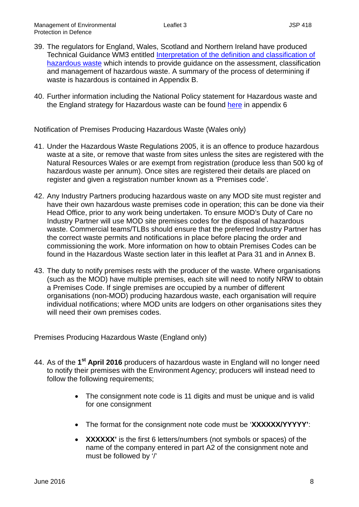- 39. The regulators for England, Wales, Scotland and Northern Ireland have produced Technical Guidance WM3 entitled Interpretation of the definition and classification of [hazardous waste](https://www.gov.uk/government/uploads/system/uploads/attachment_data/file/427077/LIT_10121.pdf) which intends to provide guidance on the assessment, classification and management of hazardous waste. A summary of the process of determining if waste is hazardous is contained in Appendix B.
- 40. Further information including the National Policy statement for Hazardous waste and the England strategy for Hazardous waste can be found [here](https://www.gov.uk/government/publications/2010-to-2015-government-policy-waste-and-recycling/2010-to-2015-government-policy-waste-and-recycling#appendix-6-hazardous-waste) in appendix 6

Notification of Premises Producing Hazardous Waste (Wales only)

- 41. Under the Hazardous Waste Regulations 2005, it is an offence to produce hazardous waste at a site, or remove that waste from sites unless the sites are registered with the Natural Resources Wales or are exempt from registration (produce less than 500 kg of hazardous waste per annum). Once sites are registered their details are placed on register and given a registration number known as a 'Premises code'.
- 42. Any Industry Partners producing hazardous waste on any MOD site must register and have their own hazardous waste premises code in operation; this can be done via their Head Office, prior to any work being undertaken. To ensure MOD's Duty of Care no Industry Partner will use MOD site premises codes for the disposal of hazardous waste. Commercial teams/TLBs should ensure that the preferred Industry Partner has the correct waste permits and notifications in place before placing the order and commissioning the work. More information on how to obtain Premises Codes can be found in the Hazardous Waste section later in this leaflet at Para 31 and in Annex B.
- 43. The duty to notify premises rests with the producer of the waste. Where organisations (such as the MOD) have multiple premises, each site will need to notify NRW to obtain a Premises Code. If single premises are occupied by a number of different organisations (non-MOD) producing hazardous waste, each organisation will require individual notifications; where MOD units are lodgers on other organisations sites they will need their own premises codes.

Premises Producing Hazardous Waste (England only)

- 44. As of the **1st April 2016** producers of hazardous waste in England will no longer need to notify their premises with the Environment Agency; producers will instead need to follow the following requirements;
	- The consignment note code is 11 digits and must be unique and is valid for one consignment
	- The format for the consignment note code must be '**XXXXXX/YYYYY'**:
	- **XXXXXX'** is the first 6 letters/numbers (not symbols or spaces) of the name of the company entered in part A2 of the consignment note and must be followed by '/'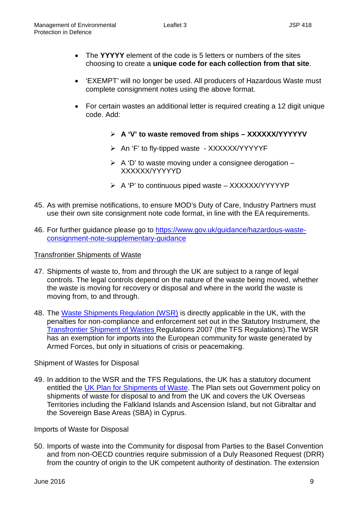- The **YYYYY** element of the code is 5 letters or numbers of the sites choosing to create a **unique code for each collection from that site**.
- 'EXEMPT' will no longer be used. All producers of Hazardous Waste must complete consignment notes using the above format.
- For certain wastes an additional letter is required creating a 12 digit unique code. Add:
	- **A 'V' to waste removed from ships – XXXXXX/YYYYYV**
	- ▶ An 'F' to fly-tipped waste XXXXXX/YYYYYF
	- $\triangleright$  A 'D' to waste moving under a consignee derogation XXXXXX/YYYYYD
	- $\triangleright$  A 'P' to continuous piped waste XXXXXX/YYYYYP
- 45. As with premise notifications, to ensure MOD's Duty of Care, Industry Partners must use their own site consignment note code format, in line with the EA requirements.
- 46. For further guidance please go to [https://www.gov.uk/guidance/hazardous-waste](https://www.gov.uk/guidance/hazardous-waste-consignment-note-supplementary-guidance)[consignment-note-supplementary-guidance](https://www.gov.uk/guidance/hazardous-waste-consignment-note-supplementary-guidance)

## Transfrontier Shipments of Waste

- 47. Shipments of waste to, from and through the UK are subject to a range of legal controls. The legal controls depend on the nature of the waste being moved, whether the waste is moving for recovery or disposal and where in the world the waste is moving from, to and through.
- 48. The [Waste Shipments Regulation \(WSR\)](http://ec.europa.eu/environment/waste/shipments/legis.htm) is directly applicable in the UK, with the penalties for non-compliance and enforcement set out in the Statutory Instrument, the [Transfrontier Shipment of Wastes R](http://www.legislation.gov.uk/uksi/2007/1711/contents/made)egulations 2007 (the TFS Regulations).The WSR has an exemption for imports into the European community for waste generated by Armed Forces, but only in situations of crisis or peacemaking.

## Shipment of Wastes for Disposal

49. In addition to the WSR and the TFS Regulations, the UK has a statutory document entitled the [UK Plan for Shipments of Waste.](https://www.gov.uk/government/publications/uk-plan-for-shipments-of-waste) The Plan sets out Government policy on shipments of waste for disposal to and from the UK and covers the UK Overseas Territories including the Falkland Islands and Ascension Island, but not Gibraltar and the Sovereign Base Areas (SBA) in Cyprus.

## Imports of Waste for Disposal

50. Imports of waste into the Community for disposal from Parties to the Basel Convention and from non-OECD countries require submission of a Duly Reasoned Request (DRR) from the country of origin to the UK competent authority of destination. The extension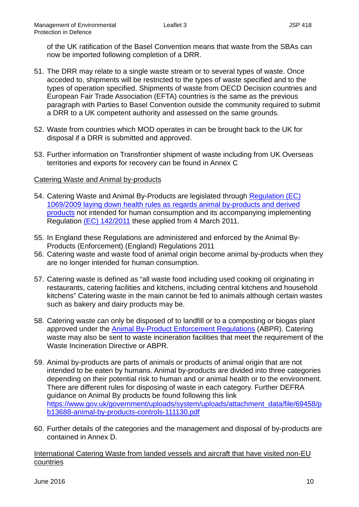of the UK ratification of the Basel Convention means that waste from the SBAs can now be imported following completion of a DRR.

- 51. The DRR may relate to a single waste stream or to several types of waste. Once acceded to, shipments will be restricted to the types of waste specified and to the types of operation specified. Shipments of waste from OECD Decision countries and European Fair Trade Association (EFTA) countries is the same as the previous paragraph with Parties to Basel Convention outside the community required to submit a DRR to a UK competent authority and assessed on the same grounds.
- 52. Waste from countries which MOD operates in can be brought back to the UK for disposal if a DRR is submitted and approved.
- 53. Further information on Transfrontier shipment of waste including from UK Overseas territories and exports for recovery can be found in Annex C

## Catering Waste and Animal by-products

- 54. Catering Waste and Animal By-Products are legislated through [Regulation \(EC\)](http://eur-lex.europa.eu/LexUriServ/LexUriServ.do?uri=OJ:L:2009:300:0001:0033:EN:PDF)  [1069/2009 laying down health rules as regards animal by-products and derived](http://eur-lex.europa.eu/LexUriServ/LexUriServ.do?uri=OJ:L:2009:300:0001:0033:EN:PDF)  [products](http://eur-lex.europa.eu/LexUriServ/LexUriServ.do?uri=OJ:L:2009:300:0001:0033:EN:PDF) not intended for human consumption and its accompanying implementing Regulation [\(EC\) 142/2011](http://eur-lex.europa.eu/LexUriServ/LexUriServ.do?uri=OJ:L:2009:300:0001:0033:EN:PDF) these applied from 4 March 2011.
- 55. In England these Regulations are administered and enforced by the Animal By-Products (Enforcement) (England) Regulations 2011
- 56. Catering waste and waste food of animal origin become animal by-products when they are no longer intended for human consumption.
- 57. Catering waste is defined as "all waste food including used cooking oil originating in restaurants, catering facilities and kitchens, including central kitchens and household kitchens" Catering waste in the main cannot be fed to animals although certain wastes such as bakery and dairy products may be.
- 58. Catering waste can only be disposed of to landfill or to a composting or biogas plant approved under the [Animal By-Product](http://www.legislation.gov.uk/uksi/2011/881/made) Enforcement Regulations (ABPR). Catering waste may also be sent to waste incineration facilities that meet the requirement of the Waste Incineration Directive or ABPR.
- 59. Animal by-products are parts of animals or products of animal origin that are not intended to be eaten by humans. Animal by-products are divided into three categories depending on their potential risk to human and or animal health or to the environment. There are different rules for disposing of waste in each category. Further DEFRA guidance on Animal By products be found following this link [https://www.gov.uk/government/uploads/system/uploads/attachment\\_data/file/69458/p](https://www.gov.uk/government/uploads/system/uploads/attachment_data/file/69458/pb13688-animal-by-products-controls-111130.pdf) [b13688-animal-by-products-controls-111130.pdf](https://www.gov.uk/government/uploads/system/uploads/attachment_data/file/69458/pb13688-animal-by-products-controls-111130.pdf)
- 60. Further details of the categories and the management and disposal of by-products are contained in Annex D.

International Catering Waste from landed vessels and aircraft that have visited non-EU countries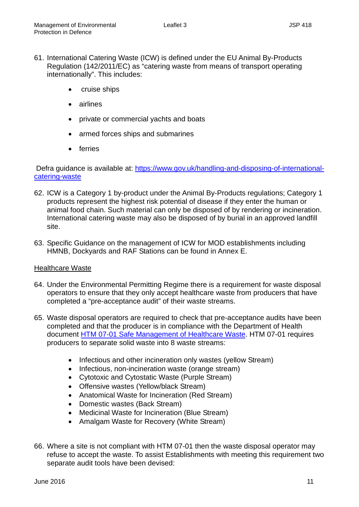- 61. International Catering Waste (ICW) is defined under the EU Animal By-Products Regulation (142/2011/EC) as "catering waste from means of transport operating internationally". This includes:
	- cruise ships
	- airlines
	- private or commercial yachts and boats
	- armed forces ships and submarines
	- ferries

Defra guidance is available at: [https://www.gov.uk/handling-and-disposing-of-international](https://www.gov.uk/handling-and-disposing-of-international-catering-waste)[catering-waste](https://www.gov.uk/handling-and-disposing-of-international-catering-waste)

- 62. ICW is a Category 1 by-product under the Animal By-Products regulations; Category 1 products represent the highest risk potential of disease if they enter the human or animal food chain. Such material can only be disposed of by rendering or incineration. International catering waste may also be disposed of by burial in an approved landfill site.
- 63. Specific Guidance on the management of ICW for MOD establishments including HMNB, Dockyards and RAF Stations can be found in Annex E.

## Healthcare Waste

- 64. Under the Environmental Permitting Regime there is a requirement for waste disposal operators to ensure that they only accept healthcare waste from producers that have completed a "pre-acceptance audit" of their waste streams.
- 65. Waste disposal operators are required to check that pre-acceptance audits have been completed and that the producer is in compliance with the Department of Health document [HTM 07-01 Safe Management of Healthcare Waste.](https://www.gov.uk/government/publications/guidance-on-the-safe-management-of-healthcare-waste) HTM 07-01 requires producers to separate solid waste into 8 waste streams:
	- Infectious and other incineration only wastes (yellow Stream)
	- Infectious, non-incineration waste (orange stream)
	- Cytotoxic and Cytostatic Waste (Purple Stream)
	- Offensive wastes (Yellow/black Stream)
	- Anatomical Waste for Incineration (Red Stream)
	- Domestic wastes (Back Stream)
	- Medicinal Waste for Incineration (Blue Stream)
	- Amalgam Waste for Recovery (White Stream)
- 66. Where a site is not compliant with HTM 07-01 then the waste disposal operator may refuse to accept the waste. To assist Establishments with meeting this requirement two separate audit tools have been devised: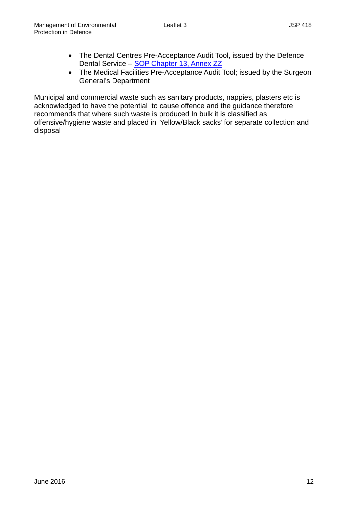- The Dental Centres Pre-Acceptance Audit Tool, issued by the Defence Dental Service - [SOP Chapter 13, Annex ZZ](http://defenceintranet.diif.r.mil.uk/Organisations/Orgs/JFC/Organisations/Orgs/SG/JMC/Pages/DefenceDentalServices(DDS)StandardOperatingProcedures(SOP).aspx#Content13)
- The Medical Facilities Pre-Acceptance Audit Tool; issued by the Surgeon General's Department

Municipal and commercial waste such as sanitary products, nappies, plasters etc is acknowledged to have the potential to cause offence and the guidance therefore recommends that where such waste is produced In bulk it is classified as offensive/hygiene waste and placed in 'Yellow/Black sacks' for separate collection and disposal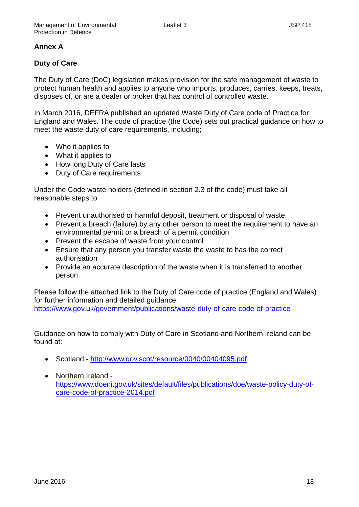# **Annex A**

# **Duty of Care**

The Duty of Care (DoC) legislation makes provision for the safe management of waste to protect human health and applies to anyone who imports, produces, carries, keeps, treats, disposes of, or are a dealer or broker that has control of controlled waste.

In March 2016, DEFRA published an updated Waste Duty of Care code of Practice for England and Wales. The code of practice (the Code) sets out practical guidance on how to meet the waste duty of care requirements, including;

- Who it applies to
- What it applies to
- How long Duty of Care lasts
- Duty of Care requirements

Under the Code waste holders (defined in section 2.3 of the code) must take all reasonable steps to

- Prevent unauthorised or harmful deposit, treatment or disposal of waste.
- Prevent a breach (failure) by any other person to meet the requirement to have an environmental permit or a breach of a permit condition
- Prevent the escape of waste from your control
- Ensure that any person you transfer waste the waste to has the correct authorisation
- Provide an accurate description of the waste when it is transferred to another person.

Please follow the attached link to the Duty of Care code of practice (England and Wales) for further information and detailed guidance. <https://www.gov.uk/government/publications/waste-duty-of-care-code-of-practice>

Guidance on how to comply with Duty of Care in Scotland and Northern Ireland can be found at:

- Scotland <http://www.gov.scot/resource/0040/00404095.pdf>
- Northern Ireland [https://www.doeni.gov.uk/sites/default/files/publications/doe/waste-policy-duty-of](https://www.doeni.gov.uk/sites/default/files/publications/doe/waste-policy-duty-of-care-code-of-practice-2014.pdf)[care-code-of-practice-2014.pdf](https://www.doeni.gov.uk/sites/default/files/publications/doe/waste-policy-duty-of-care-code-of-practice-2014.pdf)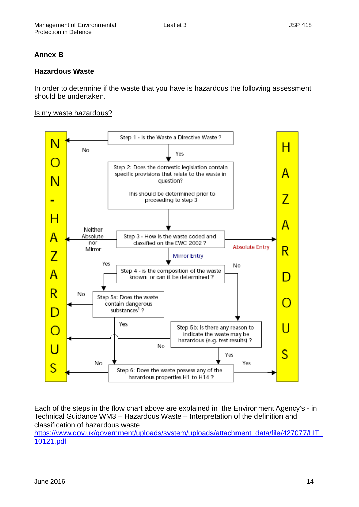## **Annex B**

## **Hazardous Waste**

In order to determine if the waste that you have is hazardous the following assessment should be undertaken.

#### Is my waste hazardous?



Each of the steps in the flow chart above are explained in the Environment Agency's - in Technical Guidance WM3 – Hazardous Waste – Interpretation of the definition and classification of hazardous waste

https://www.gov.uk/government/uploads/system/uploads/attachment\_data/file/427077/LIT [10121.pdf](https://www.gov.uk/government/uploads/system/uploads/attachment_data/file/427077/LIT_10121.pdf)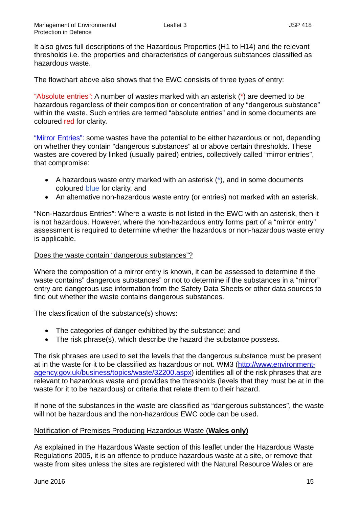It also gives full descriptions of the Hazardous Properties (H1 to H14) and the relevant thresholds i.e. the properties and characteristics of dangerous substances classified as hazardous waste.

The flowchart above also shows that the EWC consists of three types of entry:

"Absolute entries": A number of wastes marked with an asterisk (\*) are deemed to be hazardous regardless of their composition or concentration of any "dangerous substance" within the waste. Such entries are termed "absolute entries" and in some documents are coloured red for clarity.

"Mirror Entries": some wastes have the potential to be either hazardous or not, depending on whether they contain "dangerous substances" at or above certain thresholds. These wastes are covered by linked (usually paired) entries, collectively called "mirror entries", that compromise:

- A hazardous waste entry marked with an asterisk  $(*)$ , and in some documents coloured blue for clarity, and
- An alternative non-hazardous waste entry (or entries) not marked with an asterisk.

"Non-Hazardous Entries": Where a waste is not listed in the EWC with an asterisk, then it is not hazardous. However, where the non-hazardous entry forms part of a "mirror entry" assessment is required to determine whether the hazardous or non-hazardous waste entry is applicable.

## Does the waste contain "dangerous substances"?

Where the composition of a mirror entry is known, it can be assessed to determine if the waste contains" dangerous substances" or not to determine if the substances in a "mirror" entry are dangerous use information from the Safety Data Sheets or other data sources to find out whether the waste contains dangerous substances.

The classification of the substance(s) shows:

- The categories of danger exhibited by the substance; and
- The risk phrase(s), which describe the hazard the substance possess.

The risk phrases are used to set the levels that the dangerous substance must be present at in the waste for it to be classified as hazardous or not. WM3 [\(http://www.environment](http://www.environment-agency.gov.uk/business/topics/waste/32200.aspx)[agency.gov.uk/business/topics/waste/32200.aspx\)](http://www.environment-agency.gov.uk/business/topics/waste/32200.aspx) identifies all of the risk phrases that are relevant to hazardous waste and provides the thresholds (levels that they must be at in the waste for it to be hazardous) or criteria that relate them to their hazard.

If none of the substances in the waste are classified as "dangerous substances", the waste will not be hazardous and the non-hazardous EWC code can be used.

## Notification of Premises Producing Hazardous Waste (**Wales only)**

As explained in the Hazardous Waste section of this leaflet under the Hazardous Waste Regulations 2005, it is an offence to produce hazardous waste at a site, or remove that waste from sites unless the sites are registered with the Natural Resource Wales or are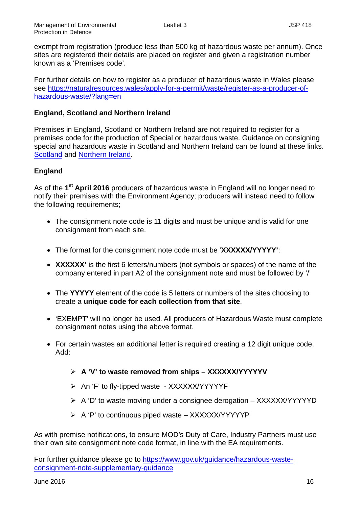exempt from registration (produce less than 500 kg of hazardous waste per annum). Once sites are registered their details are placed on register and given a registration number known as a 'Premises code'.

For further details on how to register as a producer of hazardous waste in Wales please see [https://naturalresources.wales/apply-for-a-permit/waste/register-as-a-producer-of](https://naturalresources.wales/apply-for-a-permit/waste/register-as-a-producer-of-hazardous-waste/?lang=en)[hazardous-waste/?lang=en](https://naturalresources.wales/apply-for-a-permit/waste/register-as-a-producer-of-hazardous-waste/?lang=en)

## **England, Scotland and Northern Ireland**

Premises in England, Scotland or Northern Ireland are not required to register for a premises code for the production of Special or hazardous waste. Guidance on consigning special and hazardous waste in Scotland and Northern Ireland can be found at these links. **[Scotland](http://www.sepa.org.uk/waste/waste_regulation/special_waste.aspx) and [Northern Ireland.](https://www.doeni.gov.uk/articles/hazardous-waste)** 

# **England**

As of the **1st April 2016** producers of hazardous waste in England will no longer need to notify their premises with the Environment Agency; producers will instead need to follow the following requirements;

- The consignment note code is 11 digits and must be unique and is valid for one consignment from each site.
- The format for the consignment note code must be '**XXXXXX/YYYYY'**:
- **XXXXXX'** is the first 6 letters/numbers (not symbols or spaces) of the name of the company entered in part A2 of the consignment note and must be followed by '/'
- The **YYYYY** element of the code is 5 letters or numbers of the sites choosing to create a **unique code for each collection from that site**.
- 'EXEMPT' will no longer be used. All producers of Hazardous Waste must complete consignment notes using the above format.
- For certain wastes an additional letter is required creating a 12 digit unique code. Add:
	- **A 'V' to waste removed from ships – XXXXXX/YYYYYV**
	- ▶ An 'F' to fly-tipped waste XXXXXX/YYYYYF
	- $\triangleright$  A 'D' to waste moving under a consignee derogation XXXXXX/YYYYYD
	- $\triangleright$  A 'P' to continuous piped waste XXXXXX/YYYYYP

As with premise notifications, to ensure MOD's Duty of Care, Industry Partners must use their own site consignment note code format, in line with the EA requirements.

For further guidance please go to [https://www.gov.uk/guidance/hazardous-waste](https://www.gov.uk/guidance/hazardous-waste-consignment-note-supplementary-guidance)[consignment-note-supplementary-guidance](https://www.gov.uk/guidance/hazardous-waste-consignment-note-supplementary-guidance)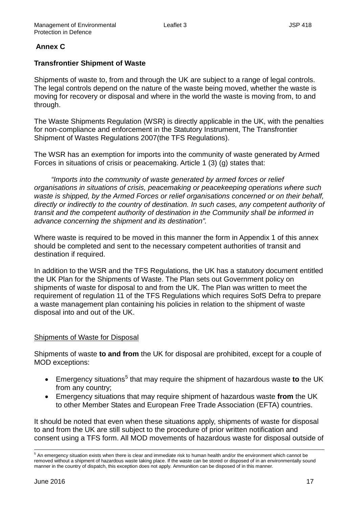# **Annex C**

## **Transfrontier Shipment of Waste**

Shipments of waste to, from and through the UK are subject to a range of legal controls. The legal controls depend on the nature of the waste being moved, whether the waste is moving for recovery or disposal and where in the world the waste is moving from, to and through.

The Waste Shipments Regulation (WSR) is directly applicable in the UK, with the penalties for non-compliance and enforcement in the Statutory Instrument, The Transfrontier Shipment of Wastes Regulations 2007(the TFS Regulations).

The WSR has an exemption for imports into the community of waste generated by Armed Forces in situations of crisis or peacemaking. Article 1 (3) (g) states that:

*"Imports into the community of waste generated by armed forces or relief organisations in situations of crisis, peacemaking or peacekeeping operations where such waste is shipped, by the Armed Forces or relief organisations concerned or on their behalf, directly or indirectly to the country of destination. In such cases, any competent authority of transit and the competent authority of destination in the Community shall be informed in advance concerning the shipment and its destination".*

Where waste is required to be moved in this manner the form in Appendix 1 of this annex should be completed and sent to the necessary competent authorities of transit and destination if required.

In addition to the WSR and the TFS Regulations, the UK has a statutory document entitled the UK Plan for the Shipments of Waste. The Plan sets out Government policy on shipments of waste for disposal to and from the UK. The Plan was written to meet the requirement of regulation 11 of the TFS Regulations which requires SofS Defra to prepare a waste management plan containing his policies in relation to the shipment of waste disposal into and out of the UK.

## Shipments of Waste for Disposal

Shipments of waste **to and from** the UK for disposal are prohibited, except for a couple of MOD exceptions:

- Emergency situations<sup>[5](#page-18-0)</sup> that may require the shipment of hazardous waste to the UK from any country;
- Emergency situations that may require shipment of hazardous waste **from** the UK to other Member States and European Free Trade Association (EFTA) countries.

It should be noted that even when these situations apply, shipments of waste for disposal to and from the UK are still subject to the procedure of prior written notification and consent using a TFS form. All MOD movements of hazardous waste for disposal outside of

<span id="page-18-0"></span><sup>&</sup>lt;sup>5</sup> An emergency situation exists when there is clear and immediate risk to human health and/or the environment which cannot be removed without a shipment of hazardous waste taking place. If the waste can be stored or disposed of in an environmentally sound manner in the country of dispatch, this exception does not apply. Ammunition can be disposed of in this manner.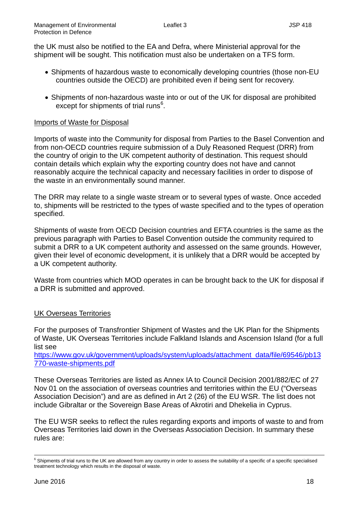the UK must also be notified to the EA and Defra, where Ministerial approval for the shipment will be sought. This notification must also be undertaken on a TFS form.

- Shipments of hazardous waste to economically developing countries (those non-EU countries outside the OECD) are prohibited even if being sent for recovery.
- Shipments of non-hazardous waste into or out of the UK for disposal are prohibited except for shipments of trial runs<sup>[6](#page-19-0)</sup>.

#### Imports of Waste for Disposal

Imports of waste into the Community for disposal from Parties to the Basel Convention and from non-OECD countries require submission of a Duly Reasoned Request (DRR) from the country of origin to the UK competent authority of destination. This request should contain details which explain why the exporting country does not have and cannot reasonably acquire the technical capacity and necessary facilities in order to dispose of the waste in an environmentally sound manner.

The DRR may relate to a single waste stream or to several types of waste. Once acceded to, shipments will be restricted to the types of waste specified and to the types of operation specified.

Shipments of waste from OECD Decision countries and EFTA countries is the same as the previous paragraph with Parties to Basel Convention outside the community required to submit a DRR to a UK competent authority and assessed on the same grounds. However, given their level of economic development, it is unlikely that a DRR would be accepted by a UK competent authority.

Waste from countries which MOD operates in can be brought back to the UK for disposal if a DRR is submitted and approved.

## UK Overseas Territories

For the purposes of Transfrontier Shipment of Wastes and the UK Plan for the Shipments of Waste, UK Overseas Territories include Falkland Islands and Ascension Island (for a full list see

[https://www.gov.uk/government/uploads/system/uploads/attachment\\_data/file/69546/pb13](https://www.gov.uk/government/uploads/system/uploads/attachment_data/file/69546/pb13770-waste-shipments.pdf) [770-waste-shipments.pdf](https://www.gov.uk/government/uploads/system/uploads/attachment_data/file/69546/pb13770-waste-shipments.pdf)

These Overseas Territories are listed as Annex IA to Council Decision 2001/882/EC of 27 Nov 01 on the association of overseas countries and territories within the EU ("Overseas Association Decision") and are as defined in Art 2 (26) of the EU WSR. The list does not include Gibraltar or the Sovereign Base Areas of Akrotiri and Dhekelia in Cyprus.

The EU WSR seeks to reflect the rules regarding exports and imports of waste to and from Overseas Territories laid down in the Overseas Association Decision. In summary these rules are:

<span id="page-19-0"></span><sup>&</sup>lt;sup>6</sup> Shipments of trial runs to the UK are allowed from any country in order to assess the suitability of a specific of a specific specialised treatment technology which results in the disposal of waste.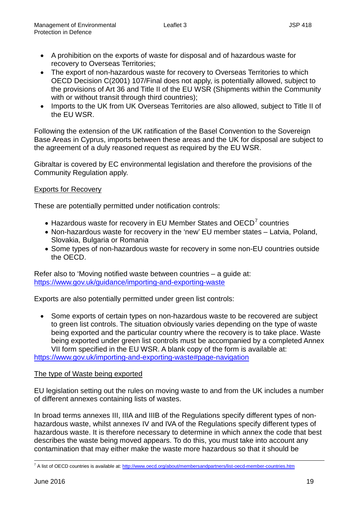- A prohibition on the exports of waste for disposal and of hazardous waste for recovery to Overseas Territories;
- The export of non-hazardous waste for recovery to Overseas Territories to which OECD Decision C(2001) 107/Final does not apply, is potentially allowed, subject to the provisions of Art 36 and Title II of the EU WSR (Shipments within the Community with or without transit through third countries);
- Imports to the UK from UK Overseas Territories are also allowed, subject to Title II of the EU WSR.

Following the extension of the UK ratification of the Basel Convention to the Sovereign Base Areas in Cyprus, imports between these areas and the UK for disposal are subject to the agreement of a duly reasoned request as required by the EU WSR.

Gibraltar is covered by EC environmental legislation and therefore the provisions of the Community Regulation apply.

## Exports for Recovery

These are potentially permitted under notification controls:

- $\bullet$  Hazardous waste for recovery in EU Member States and OECD<sup>[7](#page-20-0)</sup> countries
- Non-hazardous waste for recovery in the 'new' EU member states Latvia, Poland, Slovakia, Bulgaria or Romania
- Some types of non-hazardous waste for recovery in some non-EU countries outside the OECD.

Refer also to 'Moving notified waste between countries – a guide at: <https://www.gov.uk/guidance/importing-and-exporting-waste>

Exports are also potentially permitted under green list controls:

• Some exports of certain types on non-hazardous waste to be recovered are subject to green list controls. The situation obviously varies depending on the type of waste being exported and the particular country where the recovery is to take place. Waste being exported under green list controls must be accompanied by a completed Annex VII form specified in the EU WSR. A blank copy of the form is available at:

<https://www.gov.uk/importing-and-exporting-waste#page-navigation>

## The type of Waste being exported

EU legislation setting out the rules on moving waste to and from the UK includes a number of different annexes containing lists of wastes.

In broad terms annexes III, IIIA and IIIB of the Regulations specify different types of nonhazardous waste, whilst annexes IV and IVA of the Regulations specify different types of hazardous waste. It is therefore necessary to determine in which annex the code that best describes the waste being moved appears. To do this, you must take into account any contamination that may either make the waste more hazardous so that it should be

<span id="page-20-0"></span><sup>&</sup>lt;sup>7</sup> A list of OECD countries is available at:<http://www.oecd.org/about/membersandpartners/list-oecd-member-countries.htm>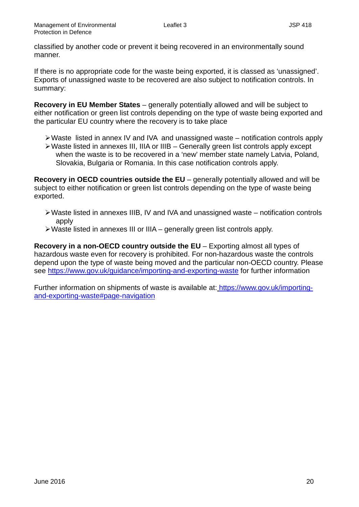classified by another code or prevent it being recovered in an environmentally sound manner.

If there is no appropriate code for the waste being exported, it is classed as 'unassigned'. Exports of unassigned waste to be recovered are also subject to notification controls. In summary:

**Recovery in EU Member States** – generally potentially allowed and will be subject to either notification or green list controls depending on the type of waste being exported and the particular EU country where the recovery is to take place

- $\triangleright$  Waste listed in annex IV and IVA and unassigned waste notification controls apply
- Waste listed in annexes III, IIIA or IIIB Generally green list controls apply except when the waste is to be recovered in a 'new' member state namely Latvia, Poland, Slovakia, Bulgaria or Romania. In this case notification controls apply.

**Recovery in OECD countries outside the EU** – generally potentially allowed and will be subject to either notification or green list controls depending on the type of waste being exported.

- $\triangleright$  Waste listed in annexes IIIB, IV and IVA and unassigned waste notification controls apply
- Waste listed in annexes III or IIIA generally green list controls apply.

**Recovery in a non-OECD country outside the EU** – Exporting almost all types of hazardous waste even for recovery is prohibited. For non-hazardous waste the controls depend upon the type of waste being moved and the particular non-OECD country. Please see<https://www.gov.uk/guidance/importing-and-exporting-waste> for further information

Further information on shipments of waste is available at: [https://www.gov.uk/importing](https://www.gov.uk/importing-and-exporting-waste#page-navigation)[and-exporting-waste#page-navigation](https://www.gov.uk/importing-and-exporting-waste#page-navigation)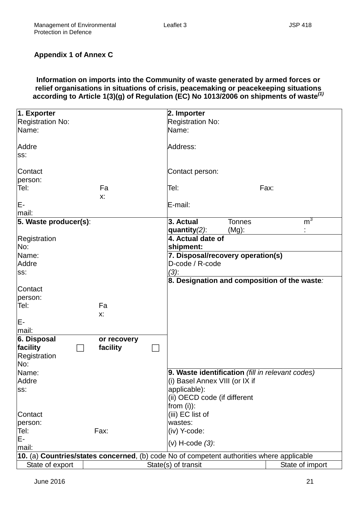# **Appendix 1 of Annex C**

## **Information on imports into the Community of waste generated by armed forces or relief organisations in situations of crisis, peacemaking or peacekeeping situations according to Article 1(3)(g) of Regulation (EC) No 1013/2006 on shipments of waste***(1)*

| 1. Exporter                                                                               |             |  | 2. Importer                                      |               |                                              |
|-------------------------------------------------------------------------------------------|-------------|--|--------------------------------------------------|---------------|----------------------------------------------|
| <b>Registration No:</b>                                                                   |             |  | <b>Registration No:</b>                          |               |                                              |
| Name:                                                                                     |             |  | Name:                                            |               |                                              |
|                                                                                           |             |  |                                                  |               |                                              |
| Addre                                                                                     |             |  | Address:                                         |               |                                              |
| SS:                                                                                       |             |  |                                                  |               |                                              |
|                                                                                           |             |  |                                                  |               |                                              |
| Contact                                                                                   |             |  | Contact person:                                  |               |                                              |
| person:                                                                                   |             |  |                                                  |               |                                              |
| Tel:                                                                                      | Fa          |  | Tel:                                             |               | Fax:                                         |
|                                                                                           | Х.          |  |                                                  |               |                                              |
| E-                                                                                        |             |  | E-mail:                                          |               |                                              |
| mail:                                                                                     |             |  |                                                  |               |                                              |
| 5. Waste producer(s):                                                                     |             |  | 3. Actual                                        | <b>Tonnes</b> | m <sup>3</sup>                               |
|                                                                                           |             |  | quantity $(2)$ :                                 | $(Mg)$ :      |                                              |
| Registration                                                                              |             |  | 4. Actual date of                                |               |                                              |
| No:                                                                                       |             |  | shipment:                                        |               |                                              |
| Name:                                                                                     |             |  | 7. Disposal/recovery operation(s)                |               |                                              |
| Addre                                                                                     |             |  | D-code / R-code                                  |               |                                              |
| SS:                                                                                       |             |  | $(3)$ :                                          |               |                                              |
|                                                                                           |             |  |                                                  |               | 8. Designation and composition of the waste: |
| Contact                                                                                   |             |  |                                                  |               |                                              |
| person:                                                                                   |             |  |                                                  |               |                                              |
| Tel:                                                                                      | Fa          |  |                                                  |               |                                              |
|                                                                                           | X:          |  |                                                  |               |                                              |
| E-                                                                                        |             |  |                                                  |               |                                              |
| mail:                                                                                     |             |  |                                                  |               |                                              |
| 6. Disposal                                                                               | or recovery |  |                                                  |               |                                              |
| facility                                                                                  | facility    |  |                                                  |               |                                              |
| Registration                                                                              |             |  |                                                  |               |                                              |
| No:                                                                                       |             |  |                                                  |               |                                              |
| Name:                                                                                     |             |  | 9. Waste identification (fill in relevant codes) |               |                                              |
| Addre                                                                                     |             |  | (i) Basel Annex VIII (or IX if                   |               |                                              |
| SS:                                                                                       |             |  | applicable):                                     |               |                                              |
|                                                                                           |             |  | (ii) OECD code (if different                     |               |                                              |
|                                                                                           |             |  | from $(i)$ :                                     |               |                                              |
| Contact                                                                                   |             |  | (iii) EC list of                                 |               |                                              |
| person:                                                                                   |             |  | wastes:                                          |               |                                              |
| Tel:                                                                                      | Fax:        |  | (iv) Y-code:                                     |               |                                              |
| Е-                                                                                        |             |  |                                                  |               |                                              |
| mail:                                                                                     |             |  | $(v)$ H-code $(3)$ :                             |               |                                              |
| 10. (a) Countries/states concerned, (b) code No of competent authorities where applicable |             |  |                                                  |               |                                              |
| State of export                                                                           |             |  | State(s) of transit                              |               | State of import                              |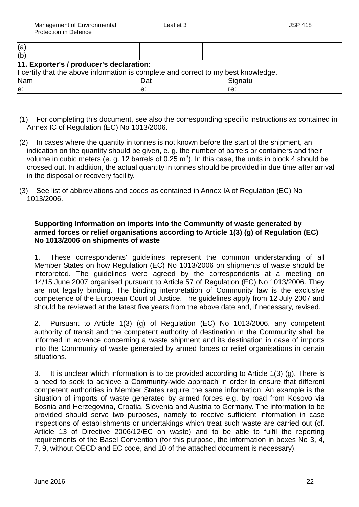| (a)                                                                                |  |     |         |  |
|------------------------------------------------------------------------------------|--|-----|---------|--|
| (b)                                                                                |  |     |         |  |
| 11. Exporter's / producer's declaration:                                           |  |     |         |  |
| I certify that the above information is complete and correct to my best knowledge. |  |     |         |  |
| Nam                                                                                |  | Dat | Signatu |  |
| le:                                                                                |  | e:  | re:     |  |
|                                                                                    |  |     |         |  |

- (1) For completing this document, see also the corresponding specific instructions as contained in Annex IC of Regulation (EC) No 1013/2006.
- (2) In cases where the quantity in tonnes is not known before the start of the shipment, an indication on the quantity should be given, e. g. the number of barrels or containers and their volume in cubic meters (e. g. 12 barrels of 0.25 m<sup>3</sup>). In this case, the units in block 4 should be crossed out. In addition, the actual quantity in tonnes should be provided in due time after arrival in the disposal or recovery facility.
- (3) See list of abbreviations and codes as contained in Annex IA of Regulation (EC) No 1013/2006.

## **Supporting Information on imports into the Community of waste generated by armed forces or relief organisations according to Article 1(3) (g) of Regulation (EC) No 1013/2006 on shipments of waste**

1. These correspondents' guidelines represent the common understanding of all Member States on how Regulation (EC) No 1013/2006 on shipments of waste should be interpreted. The guidelines were agreed by the correspondents at a meeting on 14/15 June 2007 organised pursuant to Article 57 of Regulation (EC) No 1013/2006. They are not legally binding. The binding interpretation of Community law is the exclusive competence of the European Court of Justice. The guidelines apply from 12 July 2007 and should be reviewed at the latest five years from the above date and, if necessary, revised.

2. Pursuant to Article 1(3) (g) of Regulation (EC) No 1013/2006, any competent authority of transit and the competent authority of destination in the Community shall be informed in advance concerning a waste shipment and its destination in case of imports into the Community of waste generated by armed forces or relief organisations in certain situations.

3. It is unclear which information is to be provided according to Article 1(3) (g). There is a need to seek to achieve a Community-wide approach in order to ensure that different competent authorities in Member States require the same information. An example is the situation of imports of waste generated by armed forces e.g. by road from Kosovo via Bosnia and Herzegovina, Croatia, Slovenia and Austria to Germany. The information to be provided should serve two purposes, namely to receive sufficient information in case inspections of establishments or undertakings which treat such waste are carried out (cf. Article 13 of Directive 2006/12/EC on waste) and to be able to fulfil the reporting requirements of the Basel Convention (for this purpose, the information in boxes No 3, 4, 7, 9, without OECD and EC code, and 10 of the attached document is necessary).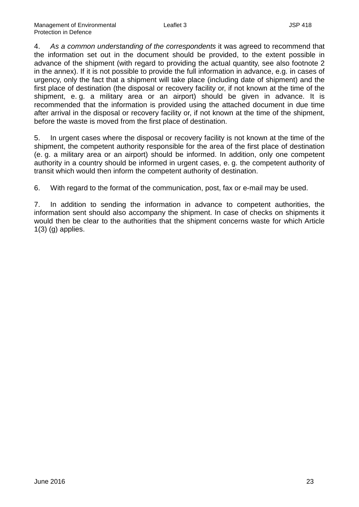4. *As a common understanding of the correspondents* it was agreed to recommend that the information set out in the document should be provided, to the extent possible in advance of the shipment (with regard to providing the actual quantity, see also footnote 2 in the annex). If it is not possible to provide the full information in advance, e.g. in cases of urgency, only the fact that a shipment will take place (including date of shipment) and the first place of destination (the disposal or recovery facility or, if not known at the time of the shipment, e. g. a military area or an airport) should be given in advance. It is recommended that the information is provided using the attached document in due time after arrival in the disposal or recovery facility or, if not known at the time of the shipment, before the waste is moved from the first place of destination.

5. In urgent cases where the disposal or recovery facility is not known at the time of the shipment, the competent authority responsible for the area of the first place of destination (e. g. a military area or an airport) should be informed. In addition, only one competent authority in a country should be informed in urgent cases, e. g. the competent authority of transit which would then inform the competent authority of destination.

6. With regard to the format of the communication, post, fax or e-mail may be used.

7. In addition to sending the information in advance to competent authorities, the information sent should also accompany the shipment. In case of checks on shipments it would then be clear to the authorities that the shipment concerns waste for which Article 1(3) (g) applies.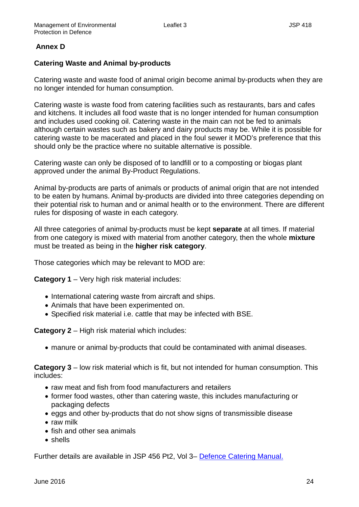# **Annex D**

# **Catering Waste and Animal by-products**

Catering waste and waste food of animal origin become animal by-products when they are no longer intended for human consumption.

Catering waste is waste food from catering facilities such as restaurants, bars and cafes and kitchens. It includes all food waste that is no longer intended for human consumption and includes used cooking oil. Catering waste in the main can not be fed to animals although certain wastes such as bakery and dairy products may be. While it is possible for catering waste to be macerated and placed in the foul sewer it MOD's preference that this should only be the practice where no suitable alternative is possible.

Catering waste can only be disposed of to landfill or to a composting or biogas plant approved under the animal By-Product Regulations.

Animal by-products are parts of animals or products of animal origin that are not intended to be eaten by humans. Animal by-products are divided into three categories depending on their potential risk to human and or animal health or to the environment. There are different rules for disposing of waste in each category.

All three categories of animal by-products must be kept **separate** at all times. If material from one category is mixed with material from another category, then the whole **mixture** must be treated as being in the **higher risk category**.

Those categories which may be relevant to MOD are:

**Category 1** – Very high risk material includes:

- International catering waste from aircraft and ships.
- Animals that have been experimented on.
- Specified risk material i.e. cattle that may be infected with BSE.

**Category 2** – High risk material which includes:

• manure or animal by-products that could be contaminated with animal diseases.

**Category 3** – low risk material which is fit, but not intended for human consumption. This includes:

- raw meat and fish from food manufacturers and retailers
- former food wastes, other than catering waste, this includes manufacturing or packaging defects
- eggs and other by-products that do not show signs of transmissible disease
- raw milk
- fish and other sea animals
- shells

Further details are available in JSP 456 Pt2, Vol 3– [Defence Catering Manual.](http://defenceintranet.diif.r.mil.uk/Reference/DINsJSPs/Pages/TheDefenceCateringManual(JSP456).aspx)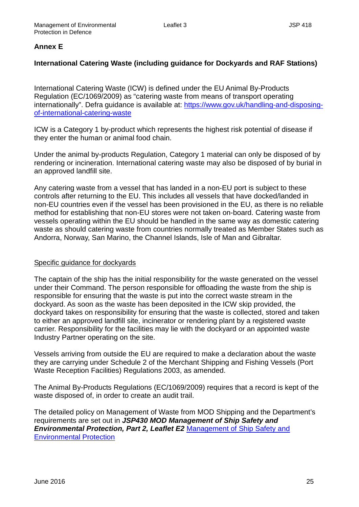# **Annex E**

# **International Catering Waste (including guidance for Dockyards and RAF Stations)**

International Catering Waste (ICW) is defined under the EU Animal By-Products Regulation (EC/1069/2009) as "catering waste from means of transport operating internationally". Defra guidance is available at: [https://www.gov.uk/handling-and-disposing](https://www.gov.uk/handling-and-disposing-of-international-catering-waste)[of-international-catering-waste](https://www.gov.uk/handling-and-disposing-of-international-catering-waste)

ICW is a Category 1 by-product which represents the highest risk potential of disease if they enter the human or animal food chain.

Under the animal by-products Regulation, Category 1 material can only be disposed of by rendering or incineration. International catering waste may also be disposed of by burial in an approved landfill site.

Any catering waste from a vessel that has landed in a non-EU port is subject to these controls after returning to the EU. This includes all vessels that have docked/landed in non-EU countries even if the vessel has been provisioned in the EU, as there is no reliable method for establishing that non-EU stores were not taken on-board. Catering waste from vessels operating within the EU should be handled in the same way as domestic catering waste as should catering waste from countries normally treated as Member States such as Andorra, Norway, San Marino, the Channel Islands, Isle of Man and Gibraltar.

## Specific guidance for dockyards

The captain of the ship has the initial responsibility for the waste generated on the vessel under their Command. The person responsible for offloading the waste from the ship is responsible for ensuring that the waste is put into the correct waste stream in the dockyard. As soon as the waste has been deposited in the ICW skip provided, the dockyard takes on responsibility for ensuring that the waste is collected, stored and taken to either an approved landfill site, incinerator or rendering plant by a registered waste carrier. Responsibility for the facilities may lie with the dockyard or an appointed waste Industry Partner operating on the site.

Vessels arriving from outside the EU are required to make a declaration about the waste they are carrying under Schedule 2 of the Merchant Shipping and Fishing Vessels (Port Waste Reception Facilities) Regulations 2003, as amended.

The Animal By-Products Regulations (EC/1069/2009) requires that a record is kept of the waste disposed of, in order to create an audit trail.

The detailed policy on Management of Waste from MOD Shipping and the Department's requirements are set out in *JSP430 MOD Management of Ship Safety and Environmental Protection, Part 2, Leaflet E2* [Management of Ship Safety and](http://www.nsass.org.uk/Library/Document/?Id=1000&LibraryRequest=4)  [Environmental Protection](http://www.nsass.org.uk/Library/Document/?Id=1000&LibraryRequest=4)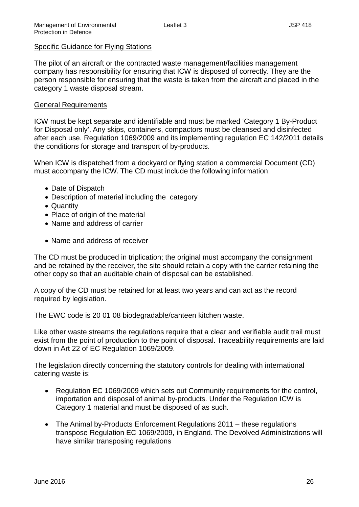#### Specific Guidance for Flying Stations

The pilot of an aircraft or the contracted waste management/facilities management company has responsibility for ensuring that ICW is disposed of correctly. They are the person responsible for ensuring that the waste is taken from the aircraft and placed in the category 1 waste disposal stream.

#### General Requirements

ICW must be kept separate and identifiable and must be marked 'Category 1 By-Product for Disposal only'. Any skips, containers, compactors must be cleansed and disinfected after each use. Regulation 1069/2009 and its implementing regulation EC 142/2011 details the conditions for storage and transport of by-products.

When ICW is dispatched from a dockyard or flying station a commercial Document (CD) must accompany the ICW. The CD must include the following information:

- Date of Dispatch
- Description of material including the category
- Quantity
- Place of origin of the material
- Name and address of carrier
- Name and address of receiver

The CD must be produced in triplication; the original must accompany the consignment and be retained by the receiver, the site should retain a copy with the carrier retaining the other copy so that an auditable chain of disposal can be established.

A copy of the CD must be retained for at least two years and can act as the record required by legislation.

The EWC code is 20 01 08 biodegradable/canteen kitchen waste.

Like other waste streams the regulations require that a clear and verifiable audit trail must exist from the point of production to the point of disposal. Traceability requirements are laid down in Art 22 of EC Regulation 1069/2009.

The legislation directly concerning the statutory controls for dealing with international catering waste is:

- Regulation EC 1069/2009 which sets out Community requirements for the control, importation and disposal of animal by-products. Under the Regulation ICW is Category 1 material and must be disposed of as such.
- The Animal by-Products Enforcement Regulations 2011 these regulations transpose Regulation EC 1069/2009, in England. The Devolved Administrations will have similar transposing regulations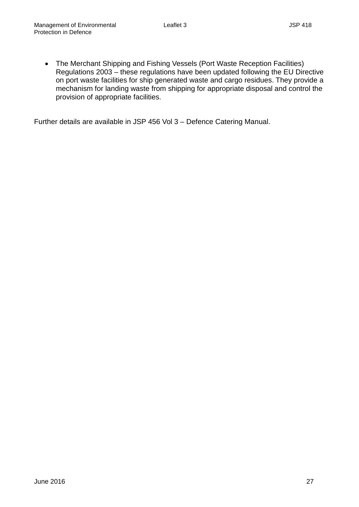• The Merchant Shipping and Fishing Vessels (Port Waste Reception Facilities) Regulations 2003 – these regulations have been updated following the EU Directive on port waste facilities for ship generated waste and cargo residues. They provide a mechanism for landing waste from shipping for appropriate disposal and control the provision of appropriate facilities.

Further details are available in JSP 456 Vol 3 – Defence Catering Manual.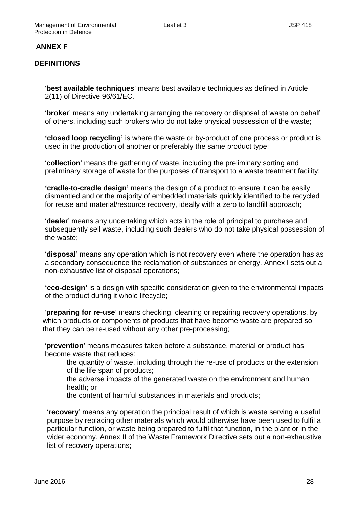## **ANNEX F**

## **DEFINITIONS**

'**best available techniques**' means best available techniques as defined in Article 2(11) of Directive 96/61/EC.

'**broker**' means any undertaking arranging the recovery or disposal of waste on behalf of others, including such brokers who do not take physical possession of the waste;

**'closed loop recycling'** is where the waste or by-product of one process or product is used in the production of another or preferably the same product type;

'**collection**' means the gathering of waste, including the preliminary sorting and preliminary storage of waste for the purposes of transport to a waste treatment facility;

**'cradle-to-cradle design'** means the design of a product to ensure it can be easily dismantled and or the majority of embedded materials quickly identified to be recycled for reuse and material/resource recovery, ideally with a zero to landfill approach;

'**dealer**' means any undertaking which acts in the role of principal to purchase and subsequently sell waste, including such dealers who do not take physical possession of the waste;

'**disposal**' means any operation which is not recovery even where the operation has as a secondary consequence the reclamation of substances or energy. Annex I sets out a non-exhaustive list of disposal operations;

**'eco-design'** is a design with specific consideration given to the environmental impacts of the product during it whole lifecycle;

'**preparing for re-use**' means checking, cleaning or repairing recovery operations, by which products or components of products that have become waste are prepared so that they can be re-used without any other pre-processing;

'**prevention**' means measures taken before a substance, material or product has become waste that reduces:

the quantity of waste, including through the re-use of products or the extension of the life span of products;

the adverse impacts of the generated waste on the environment and human health; or

the content of harmful substances in materials and products;

'**recovery**' means any operation the principal result of which is waste serving a useful purpose by replacing other materials which would otherwise have been used to fulfil a particular function, or waste being prepared to fulfil that function, in the plant or in the wider economy. Annex II of the Waste Framework Directive sets out a non-exhaustive list of recovery operations;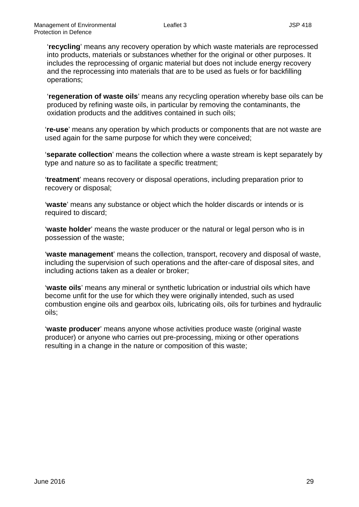'**recycling**' means any recovery operation by which waste materials are reprocessed into products, materials or substances whether for the original or other purposes. It includes the reprocessing of organic material but does not include energy recovery and the reprocessing into materials that are to be used as fuels or for backfilling operations;

'**regeneration of waste oils**' means any recycling operation whereby base oils can be produced by refining waste oils, in particular by removing the contaminants, the oxidation products and the additives contained in such oils;

'**re-use**' means any operation by which products or components that are not waste are used again for the same purpose for which they were conceived;

'**separate collection**' means the collection where a waste stream is kept separately by type and nature so as to facilitate a specific treatment;

'**treatment**' means recovery or disposal operations, including preparation prior to recovery or disposal;

'**waste**' means any substance or object which the holder discards or intends or is required to discard;

'**waste holder**' means the waste producer or the natural or legal person who is in possession of the waste;

'**waste management**' means the collection, transport, recovery and disposal of waste, including the supervision of such operations and the after-care of disposal sites, and including actions taken as a dealer or broker;

'**waste oils**' means any mineral or synthetic lubrication or industrial oils which have become unfit for the use for which they were originally intended, such as used combustion engine oils and gearbox oils, lubricating oils, oils for turbines and hydraulic oils;

'**waste producer**' means anyone whose activities produce waste (original waste producer) or anyone who carries out pre-processing, mixing or other operations resulting in a change in the nature or composition of this waste;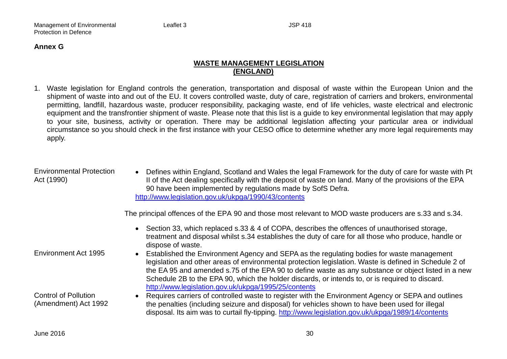#### **Annex G**

## **WASTE MANAGEMENT LEGISLATION (ENGLAND)**

1. Waste legislation for England controls the generation, transportation and disposal of waste within the European Union and the shipment of waste into and out of the EU. It covers controlled waste, duty of care, registration of carriers and brokers, environmental permitting, landfill, hazardous waste, producer responsibility, packaging waste, end of life vehicles, waste electrical and electronic equipment and the transfrontier shipment of waste. Please note that this list is a guide to key environmental legislation that may apply to your site, business, activity or operation. There may be additional legislation affecting your particular area or individual circumstance so you should check in the first instance with your CESO office to determine whether any more legal requirements may apply.

| <b>Environmental Protection</b><br>Act (1990)       | • Defines within England, Scotland and Wales the legal Framework for the duty of care for waste with Pt<br>II of the Act dealing specifically with the deposit of waste on land. Many of the provisions of the EPA<br>90 have been implemented by regulations made by SofS Defra.<br>http://www.legislation.gov.uk/ukpga/1990/43/contents                                                                                                                                          |
|-----------------------------------------------------|------------------------------------------------------------------------------------------------------------------------------------------------------------------------------------------------------------------------------------------------------------------------------------------------------------------------------------------------------------------------------------------------------------------------------------------------------------------------------------|
|                                                     | The principal offences of the EPA 90 and those most relevant to MOD waste producers are s.33 and s.34.                                                                                                                                                                                                                                                                                                                                                                             |
|                                                     | • Section 33, which replaced s.33 & 4 of COPA, describes the offences of unauthorised storage,<br>treatment and disposal whilst s.34 establishes the duty of care for all those who produce, handle or<br>dispose of waste.                                                                                                                                                                                                                                                        |
| Environment Act 1995                                | Established the Environment Agency and SEPA as the regulating bodies for waste management<br>$\bullet$<br>legislation and other areas of environmental protection legislation. Waste is defined in Schedule 2 of<br>the EA 95 and amended s.75 of the EPA 90 to define waste as any substance or object listed in a new<br>Schedule 2B to the EPA 90, which the holder discards, or intends to, or is required to discard.<br>http://www.legislation.gov.uk/ukpga/1995/25/contents |
| <b>Control of Pollution</b><br>(Amendment) Act 1992 | Requires carriers of controlled waste to register with the Environment Agency or SEPA and outlines<br>$\bullet$<br>the penalties (including seizure and disposal) for vehicles shown to have been used for illegal<br>disposal. Its aim was to curtail fly-tipping. http://www.legislation.gov.uk/ukpga/1989/14/contents                                                                                                                                                           |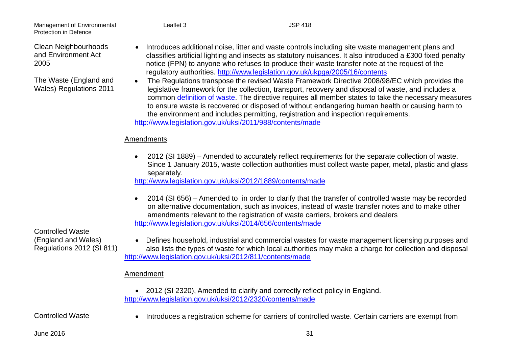Clean Neighbourhoods and Environment Act 2005

The Waste (England and Wales) Regulations 2011

- Introduces additional noise, litter and waste controls including site waste management plans and classifies artificial lighting and insects as statutory nuisances. It also introduced a £300 fixed penalty notice (FPN) to anyone who refuses to produce their waste transfer note at the request of the regulatory authorities.<http://www.legislation.gov.uk/ukpga/2005/16/contents>
- The Regulations transpose the revised Waste Framework Directive 2008/98/EC which provides the legislative framework for the collection, transport, recovery and disposal of waste, and includes a common [definition of waste.](https://www.gov.uk/government/uploads/system/uploads/attachment_data/file/218585/ECJCaseLaw20090209.pdf) The directive requires all member states to take the necessary measures to ensure waste is recovered or disposed of without endangering human health or causing harm to the environment and includes permitting, registration and inspection requirements. <http://www.legislation.gov.uk/uksi/2011/988/contents/made>

# **Amendments**

• 2012 (SI 1889) – Amended to accurately reflect requirements for the separate collection of waste. Since 1 January 2015, waste collection authorities must collect waste paper, metal, plastic and glass separately.

<http://www.legislation.gov.uk/uksi/2012/1889/contents/made>

• 2014 (SI 656) – Amended to in order to clarify that the transfer of controlled waste may be recorded on alternative documentation, such as invoices, instead of waste transfer notes and to make other amendments relevant to the registration of waste carriers, brokers and dealers <http://www.legislation.gov.uk/uksi/2014/656/contents/made>

Controlled Waste (England and Wales) Regulations 2012 (SI 811)

• Defines household, industrial and commercial wastes for waste management licensing purposes and also lists the types of waste for which local authorities may make a charge for collection and disposal <http://www.legislation.gov.uk/uksi/2012/811/contents/made>

## Amendment

• 2012 (SI 2320), Amended to clarify and correctly reflect policy in England. <http://www.legislation.gov.uk/uksi/2012/2320/contents/made>

Controlled Waste • Introduces a registration scheme for carriers of controlled waste. Certain carriers are exempt from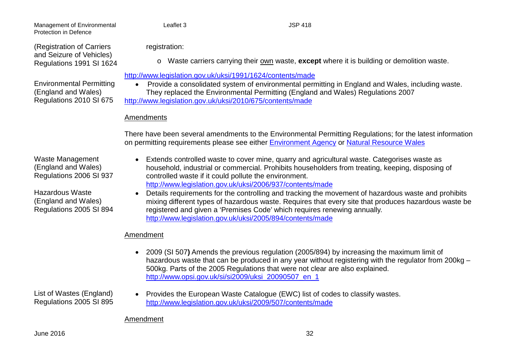(Registration of Carriers and Seizure of Vehicles) Regulations 1991 SI 1624

Environmental Permitting (England and Wales) Regulations 2010 SI 675

registration:

o Waste carriers carrying their own waste, **except** where it is building or demolition waste.

## <http://www.legislation.gov.uk/uksi/1991/1624/contents/made>

• Provide a consolidated system of environmental permitting in England and Wales, including waste. They replaced the Environmental Permitting (England and Wales) Regulations 2007 <http://www.legislation.gov.uk/uksi/2010/675/contents/made>

# **Amendments**

There have been several amendments to the Environmental Permitting Regulations; for the latest information on permitting requirements please see either [Environment Agency](https://www.gov.uk/environmental-permit-check-if-you-need-one) or [Natural Resource Wales](https://naturalresources.wales/apply-for-a-permit/waste/?lang=en)

Waste Management (England and Wales) Regulations 2006 SI 937

Hazardous Waste (England and Wales) Regulations 2005 SI 894

- Extends controlled waste to cover mine, quarry and agricultural waste. Categorises waste as household, industrial or commercial. Prohibits householders from treating, keeping, disposing of controlled waste if it could pollute the environment. <http://www.legislation.gov.uk/uksi/2006/937/contents/made>
- Details requirements for the controlling and tracking the movement of hazardous waste and prohibits mixing different types of hazardous waste. Requires that every site that produces hazardous waste be registered and given a 'Premises Code' which requires renewing annually. <http://www.legislation.gov.uk/uksi/2005/894/contents/made>

# Amendment

• 2009 (SI 507**)** Amends the previous regulation (2005/894) by increasing the maximum limit of hazardous waste that can be produced in any year without registering with the regulator from 200kg – 500kg. Parts of the 2005 Regulations that were not clear are also explained. [http://www.opsi.gov.uk/si/si2009/uksi\\_20090507\\_en\\_1](http://www.opsi.gov.uk/si/si2009/uksi_20090507_en_1)

List of Wastes (England) Regulations 2005 SI 895 • Provides the European Waste Catalogue (EWC) list of codes to classify wastes. <http://www.legislation.gov.uk/uksi/2009/507/contents/made>

## Amendment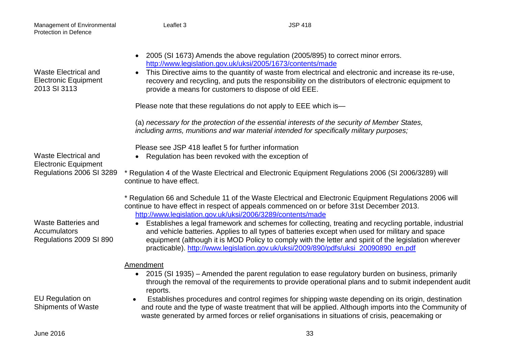| Protection in Defence                                                                  |                                                                                                                                                                                                                                                                                                                                                                                                                                                                                                                                                                                                                                                                               |
|----------------------------------------------------------------------------------------|-------------------------------------------------------------------------------------------------------------------------------------------------------------------------------------------------------------------------------------------------------------------------------------------------------------------------------------------------------------------------------------------------------------------------------------------------------------------------------------------------------------------------------------------------------------------------------------------------------------------------------------------------------------------------------|
| <b>Waste Electrical and</b><br><b>Electronic Equipment</b><br>2013 SI 3113             | 2005 (SI 1673) Amends the above regulation (2005/895) to correct minor errors.<br>$\bullet$<br>http://www.legislation.gov.uk/uksi/2005/1673/contents/made<br>This Directive aims to the quantity of waste from electrical and electronic and increase its re-use,<br>recovery and recycling, and puts the responsibility on the distributors of electronic equipment to<br>provide a means for customers to dispose of old EEE.                                                                                                                                                                                                                                               |
|                                                                                        | Please note that these regulations do not apply to EEE which is-                                                                                                                                                                                                                                                                                                                                                                                                                                                                                                                                                                                                              |
|                                                                                        | (a) necessary for the protection of the essential interests of the security of Member States,<br>including arms, munitions and war material intended for specifically military purposes;                                                                                                                                                                                                                                                                                                                                                                                                                                                                                      |
| <b>Waste Electrical and</b><br><b>Electronic Equipment</b><br>Regulations 2006 SI 3289 | Please see JSP 418 leaflet 5 for further information<br>Regulation has been revoked with the exception of<br>$\bullet$                                                                                                                                                                                                                                                                                                                                                                                                                                                                                                                                                        |
|                                                                                        | * Regulation 4 of the Waste Electrical and Electronic Equipment Regulations 2006 (SI 2006/3289) will<br>continue to have effect.                                                                                                                                                                                                                                                                                                                                                                                                                                                                                                                                              |
| <b>Waste Batteries and</b><br>Accumulators<br>Regulations 2009 SI 890                  | * Regulation 66 and Schedule 11 of the Waste Electrical and Electronic Equipment Regulations 2006 will<br>continue to have effect in respect of appeals commenced on or before 31st December 2013.<br>http://www.legislation.gov.uk/uksi/2006/3289/contents/made<br>Establishes a legal framework and schemes for collecting, treating and recycling portable, industrial<br>and vehicle batteries. Applies to all types of batteries except when used for military and space<br>equipment (although it is MOD Policy to comply with the letter and spirit of the legislation wherever<br>practicable). http://www.legislation.gov.uk/uksi/2009/890/pdfs/uksi_20090890_en.pdf |
| EU Regulation on<br><b>Shipments of Waste</b>                                          | Amendment<br>• 2015 (SI 1935) – Amended the parent regulation to ease regulatory burden on business, primarily<br>through the removal of the requirements to provide operational plans and to submit independent audit<br>reports.<br>Establishes procedures and control regimes for shipping waste depending on its origin, destination<br>and route and the type of waste treatment that will be applied. Although imports into the Community of<br>waste generated by armed forces or relief organisations in situations of crisis, peacemaking or                                                                                                                         |
| <b>June 2016</b>                                                                       | 33                                                                                                                                                                                                                                                                                                                                                                                                                                                                                                                                                                                                                                                                            |

Management of Environmental Leaflet 3 JSP 418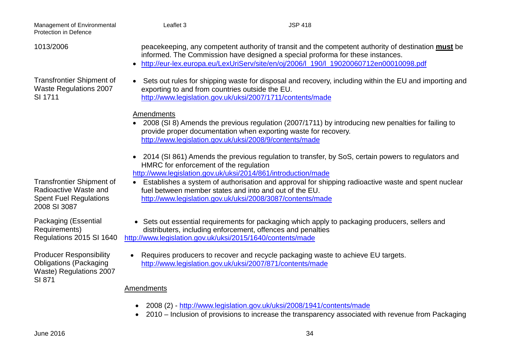| Management of Environmental<br>Protection in Defence                                                       | Leaflet 3                                                    | <b>JSP 418</b>                                                                                                                                                                                                                                                                 |  |
|------------------------------------------------------------------------------------------------------------|--------------------------------------------------------------|--------------------------------------------------------------------------------------------------------------------------------------------------------------------------------------------------------------------------------------------------------------------------------|--|
| 1013/2006                                                                                                  |                                                              | peacekeeping, any competent authority of transit and the competent authority of destination must be<br>informed. The Commission have designed a special proforma for these instances.<br>http://eur-lex.europa.eu/LexUriServ/site/en/oj/2006/l_190/l_19020060712en00010098.pdf |  |
| <b>Transfrontier Shipment of</b><br><b>Waste Regulations 2007</b><br>SI 1711                               | $\bullet$<br>exporting to and from countries outside the EU. | Sets out rules for shipping waste for disposal and recovery, including within the EU and importing and<br>http://www.legislation.gov.uk/uksi/2007/1711/contents/made                                                                                                           |  |
|                                                                                                            | Amendments                                                   | 2008 (SI 8) Amends the previous regulation (2007/1711) by introducing new penalties for failing to<br>provide proper documentation when exporting waste for recovery.<br>http://www.legislation.gov.uk/uksi/2008/9/contents/made                                               |  |
|                                                                                                            | HMRC for enforcement of the regulation                       | • 2014 (SI 861) Amends the previous regulation to transfer, by SoS, certain powers to regulators and<br>http://www.legislation.gov.uk/uksi/2014/861/introduction/made                                                                                                          |  |
| <b>Transfrontier Shipment of</b><br>Radioactive Waste and<br><b>Spent Fuel Regulations</b><br>2008 SI 3087 |                                                              | Establishes a system of authorisation and approval for shipping radioactive waste and spent nuclear<br>fuel between member states and into and out of the EU.<br>http://www.legislation.gov.uk/uksi/2008/3087/contents/made                                                    |  |
| Packaging (Essential<br>Requirements)<br>Regulations 2015 SI 1640                                          | http://www.legislation.gov.uk/uksi/2015/1640/contents/made   | • Sets out essential requirements for packaging which apply to packaging producers, sellers and<br>distributers, including enforcement, offences and penalties                                                                                                                 |  |
| <b>Producer Responsibility</b><br><b>Obligations (Packaging</b><br>Waste) Regulations 2007<br>SI 871       |                                                              | • Requires producers to recover and recycle packaging waste to achieve EU targets.<br>http://www.legislation.gov.uk/uksi/2007/871/contents/made                                                                                                                                |  |

# **Amendments**

- 2008 (2) <http://www.legislation.gov.uk/uksi/2008/1941/contents/made>
- 2010 Inclusion of provisions to increase the transparency associated with revenue from Packaging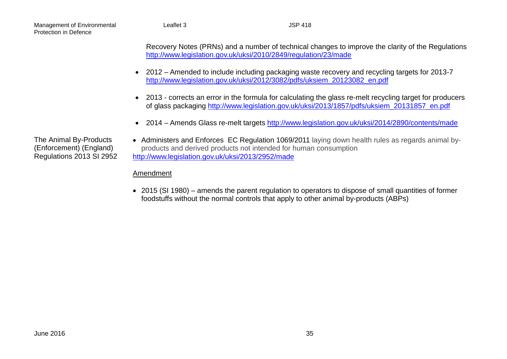> Recovery Notes (PRNs) and a number of technical changes to improve the clarity of the Regulations <http://www.legislation.gov.uk/uksi/2010/2849/regulation/23/made>

- 2012 Amended to include including packaging waste recovery and recycling targets for 2013-7 [http://www.legislation.gov.uk/uksi/2012/3082/pdfs/uksiem\\_20123082\\_en.pdf](http://www.legislation.gov.uk/uksi/2012/3082/pdfs/uksiem_20123082_en.pdf)
- 2013 corrects an error in the formula for calculating the glass re-melt recycling target for producers of glass packaging [http://www.legislation.gov.uk/uksi/2013/1857/pdfs/uksiem\\_20131857\\_en.pdf](http://www.legislation.gov.uk/uksi/2013/1857/pdfs/uksiem_20131857_en.pdf)
- 2014 Amends Glass re-melt targets<http://www.legislation.gov.uk/uksi/2014/2890/contents/made>

The Animal By-Products (Enforcement) (England) Regulations 2013 SI 2952

• Administers and Enforces EC Regulation 1069/2011 laying down health rules as regards animal byproducts and derived products not intended for human consumption <http://www.legislation.gov.uk/uksi/2013/2952/made>

## Amendment

• 2015 (SI 1980) – amends the parent regulation to operators to dispose of small quantities of former foodstuffs without the normal controls that apply to other animal by-products (ABPs)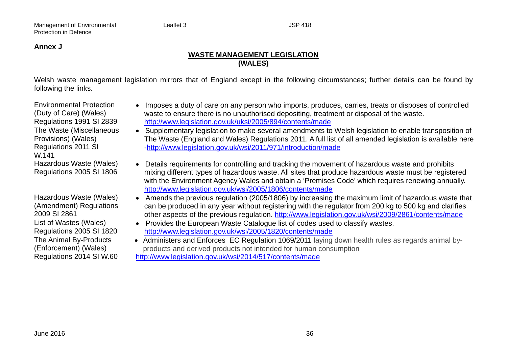#### **Annex J**

## **WASTE MANAGEMENT LEGISLATION (WALES)**

Welsh waste management legislation mirrors that of England except in the following circumstances; further details can be found by following the links.

Environmental Protection (Duty of Care) (Wales) Regulations 1991 SI 2839 The Waste (Miscellaneous Provisions) (Wales) Regulations 2011 SI W.141 Hazardous Waste (Wales) Regulations 2005 SI 1806

Hazardous Waste (Wales) (Amendment) Regulations 2009 SI 2861 List of Wastes (Wales) Regulations 2005 SI 1820 The Animal By-Products (Enforcement) (Wales) Regulations 2014 SI W.60

- Imposes a duty of care on any person who imports, produces, carries, treats or disposes of controlled waste to ensure there is no unauthorised depositing, treatment or disposal of the waste. <http://www.legislation.gov.uk/uksi/2005/894/contents/made>
- Supplementary legislation to make several amendments to Welsh legislation to enable transposition of The Waste (England and Wales) Regulations 2011. A full list of all amended legislation is available here [-http://www.legislation.gov.uk/wsi/2011/971/introduction/made](http://www.legislation.gov.uk/wsi/2011/971/introduction/made)
- Details requirements for controlling and tracking the movement of hazardous waste and prohibits mixing different types of hazardous waste. All sites that produce hazardous waste must be registered with the Environment Agency Wales and obtain a 'Premises Code' which requires renewing annually. <http://www.legislation.gov.uk/wsi/2005/1806/contents/made>
- Amends the previous regulation (2005/1806) by increasing the maximum limit of hazardous waste that can be produced in any year without registering with the regulator from 200 kg to 500 kg and clarifies other aspects of the previous regulation.<http://www.legislation.gov.uk/wsi/2009/2861/contents/made>
- Provides the European Waste Catalogue list of codes used to classify wastes. <http://www.legislation.gov.uk/wsi/2005/1820/contents/made>
- Administers and Enforces EC Regulation 1069/2011 laying down health rules as regards animal byproducts and derived products not intended for human consumption <http://www.legislation.gov.uk/wsi/2014/517/contents/made>